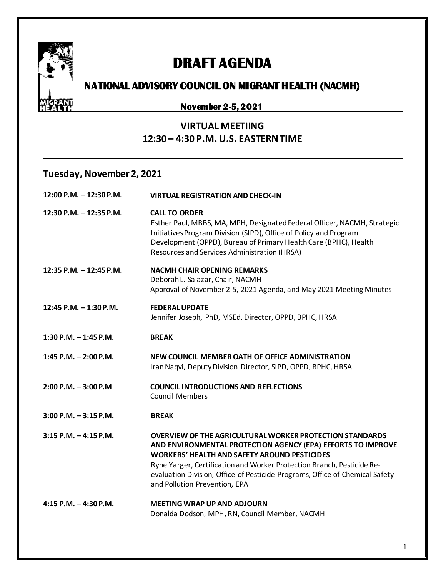

# **DRAFT AGENDA**

## **NATIONAL ADVISORY COUNCIL ON MIGRANT HEALTH (NACMH)**

#### **November 2-5, 2021**

### **VIRTUAL MEETIING 12:30 – 4:30 P.M. U.S. EASTERN TIME**

#### **Tuesday, November 2, 2021**

| 12:00 P.M. - 12:30 P.M.  | <b>VIRTUAL REGISTRATION AND CHECK-IN</b>                                                                                                                                                                                                                                                                                                                                          |
|--------------------------|-----------------------------------------------------------------------------------------------------------------------------------------------------------------------------------------------------------------------------------------------------------------------------------------------------------------------------------------------------------------------------------|
| 12:30 P.M. - 12:35 P.M.  | <b>CALL TO ORDER</b><br>Esther Paul, MBBS, MA, MPH, Designated Federal Officer, NACMH, Strategic<br>Initiatives Program Division (SIPD), Office of Policy and Program<br>Development (OPPD), Bureau of Primary Health Care (BPHC), Health<br>Resources and Services Administration (HRSA)                                                                                         |
| 12:35 P.M. - 12:45 P.M.  | <b>NACMH CHAIR OPENING REMARKS</b><br>Deborah L. Salazar, Chair, NACMH<br>Approval of November 2-5, 2021 Agenda, and May 2021 Meeting Minutes                                                                                                                                                                                                                                     |
| 12:45 P.M. - 1:30 P.M.   | <b>FEDERAL UPDATE</b><br>Jennifer Joseph, PhD, MSEd, Director, OPPD, BPHC, HRSA                                                                                                                                                                                                                                                                                                   |
| 1:30 P.M. $-$ 1:45 P.M.  | <b>BREAK</b>                                                                                                                                                                                                                                                                                                                                                                      |
| 1:45 P.M. $- 2:00$ P.M.  | NEW COUNCIL MEMBER OATH OF OFFICE ADMINISTRATION<br>Iran Naqvi, Deputy Division Director, SIPD, OPPD, BPHC, HRSA                                                                                                                                                                                                                                                                  |
| $2:00$ P.M. $-3:00$ P.M  | <b>COUNCIL INTRODUCTIONS AND REFLECTIONS</b><br><b>Council Members</b>                                                                                                                                                                                                                                                                                                            |
| $3:00$ P.M. $-3:15$ P.M. | <b>BREAK</b>                                                                                                                                                                                                                                                                                                                                                                      |
| $3:15$ P.M. $-4:15$ P.M. | <b>OVERVIEW OF THE AGRICULTURAL WORKER PROTECTION STANDARDS</b><br>AND ENVIRONMENTAL PROTECTION AGENCY (EPA) EFFORTS TO IMPROVE<br><b>WORKERS' HEALTH AND SAFETY AROUND PESTICIDES</b><br>Ryne Yarger, Certification and Worker Protection Branch, Pesticide Re-<br>evaluation Division, Office of Pesticide Programs, Office of Chemical Safety<br>and Pollution Prevention, EPA |
| 4:15 P.M. $-$ 4:30 P.M.  | <b>MEETING WRAP UP AND ADJOURN</b><br>Donalda Dodson, MPH, RN, Council Member, NACMH                                                                                                                                                                                                                                                                                              |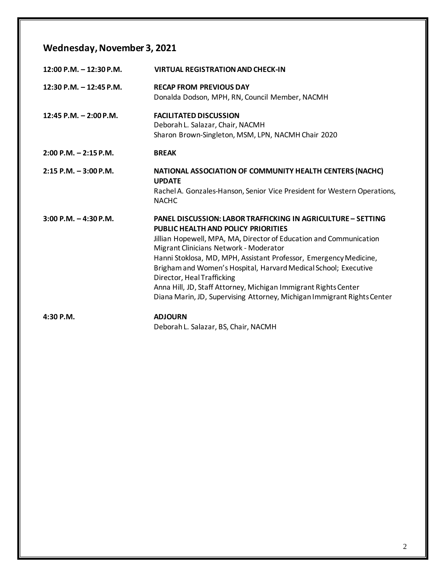## **Wednesday, November 3, 2021**

| $12:00$ P.M. $-12:30$ P.M. | <b>VIRTUAL REGISTRATION AND CHECK-IN</b>                                                                                                                                                                                                                                                                                                                                                                                                                                                                                                              |
|----------------------------|-------------------------------------------------------------------------------------------------------------------------------------------------------------------------------------------------------------------------------------------------------------------------------------------------------------------------------------------------------------------------------------------------------------------------------------------------------------------------------------------------------------------------------------------------------|
| 12:30 P.M. - 12:45 P.M.    | <b>RECAP FROM PREVIOUS DAY</b><br>Donalda Dodson, MPH, RN, Council Member, NACMH                                                                                                                                                                                                                                                                                                                                                                                                                                                                      |
| 12:45 P.M. $- 2:00$ P.M.   | <b>FACILITATED DISCUSSION</b><br>Deborah L. Salazar, Chair, NACMH<br>Sharon Brown-Singleton, MSM, LPN, NACMH Chair 2020                                                                                                                                                                                                                                                                                                                                                                                                                               |
| $2:00$ P.M. $-2:15$ P.M.   | <b>BREAK</b>                                                                                                                                                                                                                                                                                                                                                                                                                                                                                                                                          |
| $2:15$ P.M. $-3:00$ P.M.   | NATIONAL ASSOCIATION OF COMMUNITY HEALTH CENTERS (NACHC)<br><b>UPDATE</b><br>Rachel A. Gonzales-Hanson, Senior Vice President for Western Operations,<br><b>NACHC</b>                                                                                                                                                                                                                                                                                                                                                                                 |
| $3:00$ P.M. $-4:30$ P.M.   | <b>PANEL DISCUSSION: LABOR TRAFFICKING IN AGRICULTURE - SETTING</b><br><b>PUBLIC HEALTH AND POLICY PRIORITIES</b><br>Jillian Hopewell, MPA, MA, Director of Education and Communication<br>Migrant Clinicians Network - Moderator<br>Hanni Stoklosa, MD, MPH, Assistant Professor, Emergency Medicine,<br>Brigham and Women's Hospital, Harvard Medical School; Executive<br>Director, Heal Trafficking<br>Anna Hill, JD, Staff Attorney, Michigan Immigrant Rights Center<br>Diana Marin, JD, Supervising Attorney, Michigan Immigrant Rights Center |
| $4:30$ P.M.                | <b>ADJOURN</b><br>Deborah L. Salazar, BS, Chair, NACMH                                                                                                                                                                                                                                                                                                                                                                                                                                                                                                |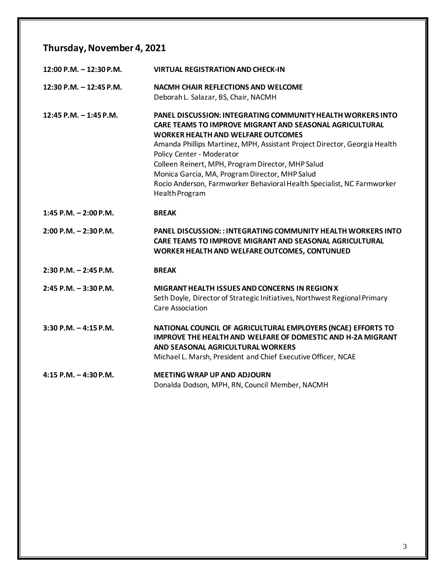## **Thursday, November 4, 2021**

| $12:00$ P.M. $-12:30$ P.M. | <b>VIRTUAL REGISTRATION AND CHECK-IN</b>                                                                                                                                                                                                                                                                                                                                                                                                                                                       |
|----------------------------|------------------------------------------------------------------------------------------------------------------------------------------------------------------------------------------------------------------------------------------------------------------------------------------------------------------------------------------------------------------------------------------------------------------------------------------------------------------------------------------------|
| 12:30 P.M. $-$ 12:45 P.M.  | <b>NACMH CHAIR REFLECTIONS AND WELCOME</b><br>Deborah L. Salazar, BS, Chair, NACMH                                                                                                                                                                                                                                                                                                                                                                                                             |
| 12:45 P.M. - 1:45 P.M.     | <b>PANEL DISCUSSION: INTEGRATING COMMUNITY HEALTH WORKERS INTO</b><br><b>CARE TEAMS TO IMPROVE MIGRANT AND SEASONAL AGRICULTURAL</b><br><b>WORKER HEALTH AND WELFARE OUTCOMES</b><br>Amanda Phillips Martinez, MPH, Assistant Project Director, Georgia Health<br>Policy Center - Moderator<br>Colleen Reinert, MPH, Program Director, MHP Salud<br>Monica Garcia, MA, Program Director, MHP Salud<br>Rocio Anderson, Farmworker Behavioral Health Specialist, NC Farmworker<br>Health Program |
| $1:45$ P.M. $- 2:00$ P.M.  | <b>BREAK</b>                                                                                                                                                                                                                                                                                                                                                                                                                                                                                   |
| $2:00$ P.M. $-2:30$ P.M.   | <b>PANEL DISCUSSION:: INTEGRATING COMMUNITY HEALTH WORKERS INTO</b><br><b>CARE TEAMS TO IMPROVE MIGRANT AND SEASONAL AGRICULTURAL</b><br>WORKER HEALTH AND WELFARE OUTCOMES, CONTUNUED                                                                                                                                                                                                                                                                                                         |
| $2:30$ P.M. $-2:45$ P.M.   | <b>BREAK</b>                                                                                                                                                                                                                                                                                                                                                                                                                                                                                   |
| $2:45$ P.M. $-3:30$ P.M.   | <b>MIGRANT HEALTH ISSUES AND CONCERNS IN REGION X</b><br>Seth Doyle, Director of Strategic Initiatives, Northwest Regional Primary<br>Care Association                                                                                                                                                                                                                                                                                                                                         |
| $3:30$ P.M. $-4:15$ P.M.   | NATIONAL COUNCIL OF AGRICULTURAL EMPLOYERS (NCAE) EFFORTS TO<br><b>IMPROVE THE HEALTH AND WELFARE OF DOMESTIC AND H-2A MIGRANT</b><br>AND SEASONAL AGRICULTURAL WORKERS<br>Michael L. Marsh, President and Chief Executive Officer, NCAE                                                                                                                                                                                                                                                       |
| $4:15$ P.M. $-4:30$ P.M.   | <b>MEETING WRAP UP AND ADJOURN</b>                                                                                                                                                                                                                                                                                                                                                                                                                                                             |